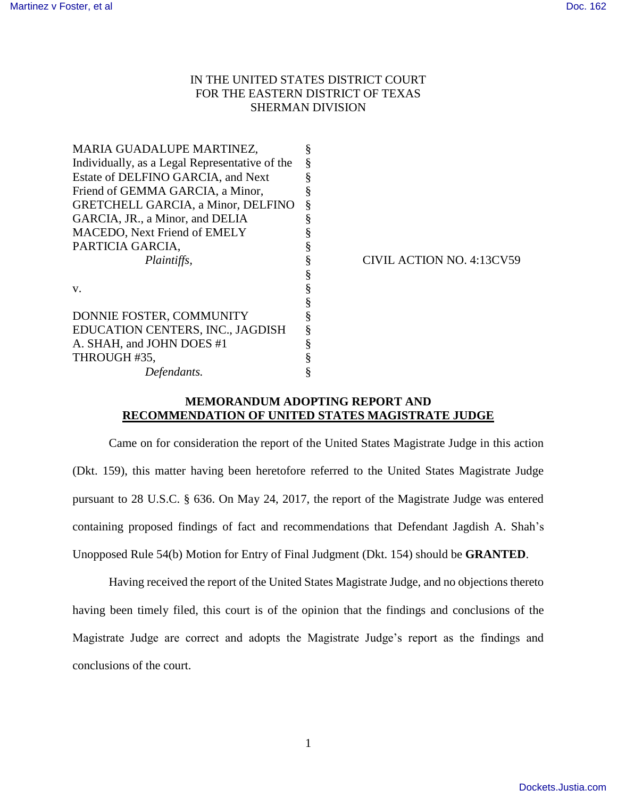## IN THE UNITED STATES DISTRICT COURT FOR THE EASTERN DISTRICT OF TEXAS SHERMAN DIVISION

|  | CIVIL ACTION NO. 4:13CV59 |
|--|---------------------------|
|  |                           |
|  |                           |
|  |                           |
|  |                           |
|  |                           |
|  |                           |
|  |                           |
|  |                           |
|  |                           |

## **MEMORANDUM ADOPTING REPORT AND RECOMMENDATION OF UNITED STATES MAGISTRATE JUDGE**

Came on for consideration the report of the United States Magistrate Judge in this action (Dkt. 159), this matter having been heretofore referred to the United States Magistrate Judge pursuant to 28 U.S.C. § 636. On May 24, 2017, the report of the Magistrate Judge was entered containing proposed findings of fact and recommendations that Defendant Jagdish A. Shah's Unopposed Rule 54(b) Motion for Entry of Final Judgment (Dkt. 154) should be **GRANTED**.

Having received the report of the United States Magistrate Judge, and no objections thereto having been timely filed, this court is of the opinion that the findings and conclusions of the Magistrate Judge are correct and adopts the Magistrate Judge's report as the findings and conclusions of the court.